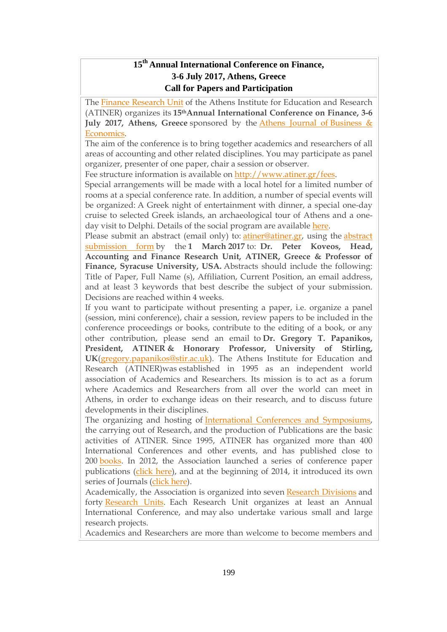## **15 th Annual International Conference on Finance, 3-6 July 2017, Athens, Greece Call for Papers and Participation**

The Finance [Research](http://www.atiner.gr/FINANCE-UNIT) Unit of the Athens Institute for Education and Research (ATINER) organizes its **15thAnnual International Conference on Finance, 3-6 July 2017, Athens, Greece** sponsored by the Athens Journal of [Business](http://www.athensjournals.gr/ajbe) & [Economics.](http://www.athensjournals.gr/ajbe)

The aim of the conference is to bring together academics and researchers of all areas of accounting and other related disciplines. You may participate as panel organizer, presenter of one paper, chair a session or observer.

Fee structure information is available on [http://www.atiner.gr/fees.](http://www.atiner.gr/fees)

Special arrangements will be made with a local hotel for a limited number of rooms at a special conference rate. In addition, a number of special events will be organized: A Greek night of entertainment with dinner, a special one-day cruise to selected Greek islands, an archaeological tour of Athens and a oneday visit to Delphi. Details of the social program are available [here.](http://www.atiner.gr/social-program)

Please submit an abstract (email only) to: [atiner@atiner.gr,](mailto:atiner@atiner.gr) using the [abstract](http://www.atiner.gr/2017/FORM-FIN.doc) [submission](http://www.atiner.gr/2017/FORM-FIN.doc) form by the **1 March 2017** to: **Dr. Peter Koveos, Head, Accounting and Finance Research Unit, ATINER, Greece & Professor of Finance, Syracuse University, USA.** Abstracts should include the following: Title of Paper, Full Name (s), Affiliation, Current Position, an email address, and at least 3 keywords that best describe the subject of your submission. Decisions are reached within 4 weeks.

If you want to participate without presenting a paper, i.e. organize a panel (session, mini conference), chair a session, review papers to be included in the conference proceedings or books, contribute to the editing of a book, or any other contribution, please send an email to **Dr. Gregory T. Papanikos, President, ATINER & Honorary Professor, University of Stirling, UK**[\(gregory.papanikos@stir.ac.uk\)](mailto:gregory.papanikos@stir.ac.uk). The Athens Institute for Education and Research (ATINER)was established in 1995 as an independent world association of Academics and Researchers. Its mission is to act as a forum where Academics and Researchers from all over the world can meet in Athens, in order to exchange ideas on their research, and to discuss future developments in their disciplines.

The organizing and hosting of International Conferences and [Symposiums,](http://www.atiner.gr/Conferences.htm) the carrying out of Research, and the production of Publications are the basic activities of ATINER. Since 1995, ATINER has organized more than 400 International Conferences and other events, and has published close to 200 [books.](http://www.atiner.gr/Publications.htm) In 2012, the Association launched a series of conference paper publications [\(click](http://www.atiner.gr/papers.htm) here), and at the beginning of 2014, it introduced its own series of Journals [\(click](http://www.athensjournals.gr/) here).

Academically, the Association is organized into seven Research [Divisions](http://www.atiner.gr/RESEARCH-DIVISIONS.htm) and forty [Research](http://www.atiner.gr/RESEARCH-DIVISIONS.htm) Units. Each Research Unit organizes at least an Annual International Conference, and may also undertake various small and large research projects.

Academics and Researchers are more than welcome to become members and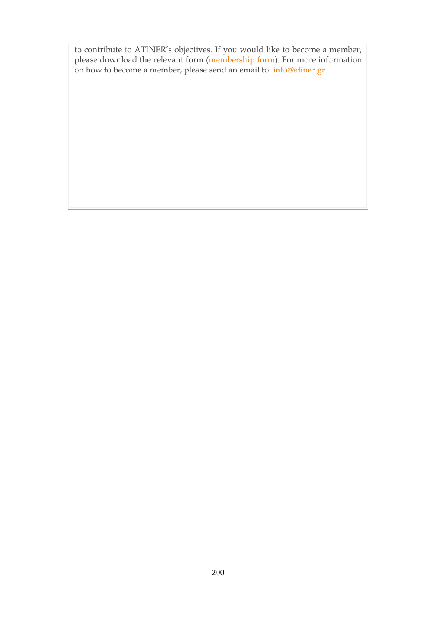to contribute to ATINER's objectives. If you would like to become a member, please download the relevant form [\(membership](http://www.atiner.gr/docs/MEMBER_FORM.doc) form). For more information on how to become a member, please send an email to: **[info@atiner.gr.](mailto:info@atiner.gr)**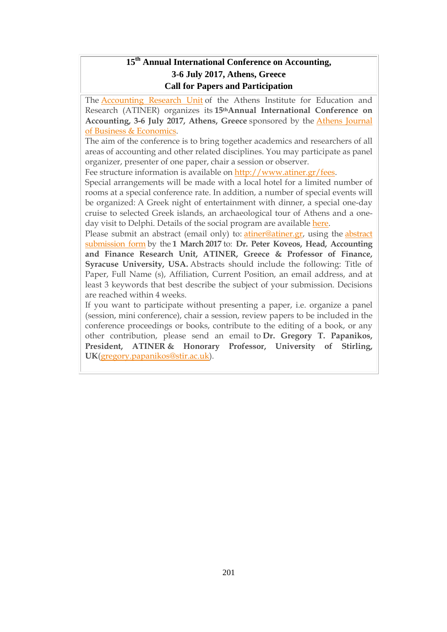# **15 th Annual International Conference on Accounting, 3-6 July 2017, Athens, Greece Call for Papers and Participation**

The [Accounting](http://www.atiner.gr/ACCOUNTING-UNIT) Research Unit of the Athens Institute for Education and Research (ATINER) organizes its **15thAnnual International Conference on Accounting, 3-6 July 2017, Athens, Greece** sponsored by the Athens [Journal](http://www.athensjournals.gr/ajbe) of Business & [Economics.](http://www.athensjournals.gr/ajbe)

The aim of the conference is to bring together academics and researchers of all areas of accounting and other related disciplines. You may participate as panel organizer, presenter of one paper, chair a session or observer.

Fee structure information is available on [http://www.atiner.gr/fees.](http://www.atiner.gr/fees)

Special arrangements will be made with a local hotel for a limited number of rooms at a special conference rate. In addition, a number of special events will be organized: A Greek night of entertainment with dinner, a special one-day cruise to selected Greek islands, an archaeological tour of Athens and a oneday visit to Delphi. Details of the social program are available [here.](http://www.atiner.gr/social-program)

Please submit an abstract (email only) to: [atiner@atiner.gr,](mailto:atiner@atiner.gr) using the [abstract](http://www.atiner.gr/2017/FORM-ACC.doc) [submission](http://www.atiner.gr/2017/FORM-ACC.doc) form by the **1 March 2017** to: **Dr. Peter Koveos, Head, Accounting and Finance Research Unit, ATINER, Greece & Professor of Finance, Syracuse University, USA.** Abstracts should include the following: Title of Paper, Full Name (s), Affiliation, Current Position, an email address, and at least 3 keywords that best describe the subject of your submission. Decisions are reached within 4 weeks.

If you want to participate without presenting a paper, i.e. organize a panel (session, mini conference), chair a session, review papers to be included in the conference proceedings or books, contribute to the editing of a book, or any other contribution, please send an email to **Dr. Gregory T. Papanikos, President, ATINER & Honorary Professor, University of Stirling, UK**[\(gregory.papanikos@stir.ac.uk\)](mailto:gregory.papanikos@stir.ac.uk).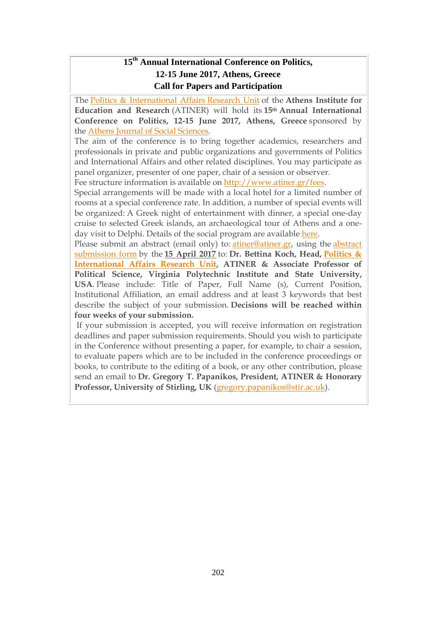## **15 th Annual International Conference on Politics, 12-15 June 2017, Athens, Greece Call for Papers and Participation**

The Politics & [International](http://www.atiner.gr/docs/POLITICS_UNIT.htm) Affairs Research Unit of the **Athens Institute for Education and Research** (ATINER) will hold its **15th Annual International Conference on Politics, 12-15 June 2017, Athens, Greece** sponsored by the Athens Journal of Social [Sciences.](http://www.athensjournals.gr/ajss)

The aim of the conference is to bring together academics, researchers and professionals in private and public organizations and governments of Politics and International Affairs and other related disciplines. You may participate as panel organizer, presenter of one paper, chair of a session or observer. Fee structure information is available on [http://www.atiner.gr/fees.](http://www.atiner.gr/fees)

Special arrangements will be made with a local hotel for a limited number of rooms at a special conference rate. In addition, a number of special events will be organized: A Greek night of entertainment with dinner, a special one-day cruise to selected Greek islands, an archaeological tour of Athens and a oneday visit to Delphi. Details of the social program are available [here.](http://www.atiner.gr/social-program)

Please submit an abstract (email only) to: [atiner@atiner.gr,](mailto:atiner@atiner.gr) using the [abstract](http://www.atiner.gr/2017/FORM-POL.doc) [submission](http://www.atiner.gr/2017/FORM-POL.doc) form by the **15 April 2017** to: **Dr. Bettina Koch, Head, [Politics](http://www.atiner.gr/politics-unit) & [International](http://www.atiner.gr/politics-unit) Affairs Research Unit, ATINER & Associate Professor of Political Science, Virginia Polytechnic Institute and State University, USA**. Please include: Title of Paper, Full Name (s), Current Position, Institutional Affiliation, an email address and at least 3 keywords that best describe the subject of your submission. **Decisions will be reached within four weeks of your submission.**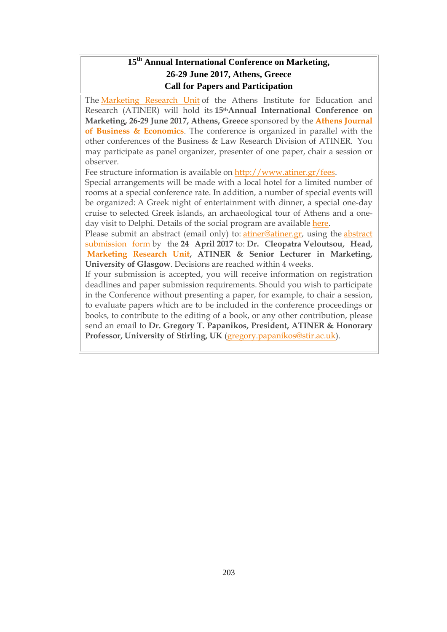# **15 th Annual International Conference on Marketing, 26-29 June 2017, Athens, Greece Call for Papers and Participation**

The [Marketing](http://www.atiner.gr/docs/MARKETING_UNIT.htm) Research Unit of the Athens Institute for Education and Research (ATINER) will hold its **15thAnnual International Conference on Marketing, 26-29 June 2017, Athens, Greece** sponsored by the **Athens [Journal](http://www.athensjournals.gr/ajbe) of Business & [Economics](http://www.athensjournals.gr/ajbe)**. The conference is organized in parallel with the other conferences of the Business & Law Research Division of ATINER. You may participate as panel organizer, presenter of one paper, chair a session or observer.

Fee structure information is available on [http://www.atiner.gr/fees.](http://www.atiner.gr/fees)

Special arrangements will be made with a local hotel for a limited number of rooms at a special conference rate. In addition, a number of special events will be organized: A Greek night of entertainment with dinner, a special one-day cruise to selected Greek islands, an archaeological tour of Athens and a oneday visit to Delphi. Details of the social program are available [here.](http://www.atiner.gr/social-program)

Please submit an abstract (email only) to: [atiner@atiner.gr,](mailto:atiner@atiner.gr) using the [abstract](http://www.atiner.gr/2016/FORM-MKT.doc) [submission](http://www.atiner.gr/2016/FORM-MKT.doc) form by the **24 April 2017** to: **Dr. Cleopatra Veloutsou, Head, [Marketing](http://www.atiner.gr/docs/MARKETING_UNIT.htm) Research Unit, ATINER & Senior Lecturer in Marketing, University of Glasgow**. Decisions are reached within 4 weeks.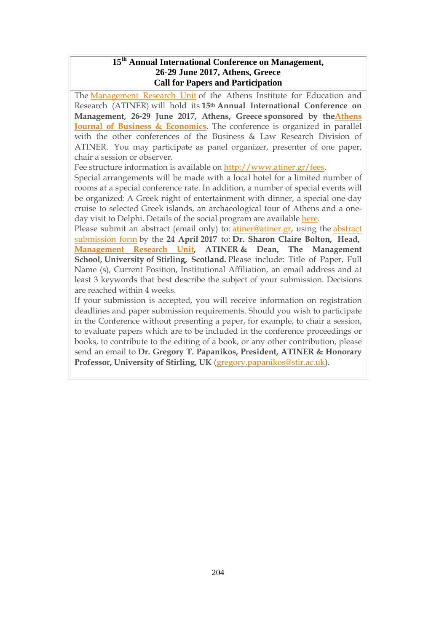#### **15th Annual International Conference on Management, 26-29 June 2017, Athens, Greece Call for Papers and Participation**

The [Management](http://www.atiner.gr/docs/MANAGEMENT_UNIT.htm) Research Unit of the Athens Institute for Education and Research (ATINER) will hold its **15th Annual International Conference on Management, 26-29 June 2017, Athens, Greece sponsored by th[eAthens](http://www.athensjournals.gr/ajbe) Journal of Business & [Economics](http://www.athensjournals.gr/ajbe)**. The conference is organized in parallel with the other conferences of the Business & Law Research Division of ATINER. You may participate as panel organizer, presenter of one paper, chair a session or observer.

Fee structure information is available on [http://www.atiner.gr/fees.](http://www.atiner.gr/fees)

Special arrangements will be made with a local hotel for a limited number of rooms at a special conference rate. In addition, a number of special events will be organized: A Greek night of entertainment with dinner, a special one-day cruise to selected Greek islands, an archaeological tour of Athens and a oneday visit to Delphi. Details of the social program are available [here.](http://www.atiner.gr/social-program)

Please submit an abstract (email only) to: [atiner@atiner.gr,](mailto:atiner@atiner.gr) using the [abstract](http://www.atiner.gr/2017/FORM-MGT.doc) [submission](http://www.atiner.gr/2017/FORM-MGT.doc) form by the **24 April 2017** to: **Dr. Sharon Claire Bolton, Head, [Management](http://www.atiner.gr/docs/MANAGEMENT_UNIT.htm) Research Unit, ATINER & Dean, The Management School, University of Stirling, Scotland.** Please include: Title of Paper, Full Name (s), Current Position, Institutional Affiliation, an email address and at least 3 keywords that best describe the subject of your submission. Decisions are reached within 4 weeks.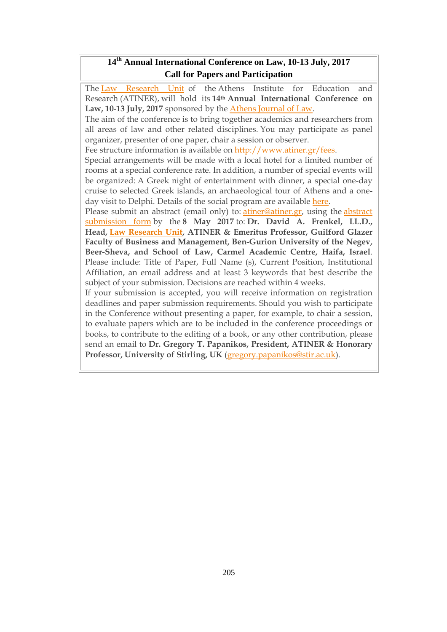## **14 th Annual International Conference on Law, 10-13 July, 2017 Call for Papers and Participation**

The Law [Research](http://www.atiner.gr/docs/LAW_UNIT.htm) Unit of the Athens Institute for Education and Research (ATINER), will hold its **14th Annual International Conference on Law, 10-13 July, 2017** sponsored by the Athens [Journal](http://www.athensjournals.gr/ajl) of Law.

The aim of the conference is to bring together academics and researchers from all areas of law and other related disciplines. You may participate as panel organizer, presenter of one paper, chair a session or observer.

Fee structure information is available on [http://www.atiner.gr/fees.](http://www.atiner.gr/fees)

Special arrangements will be made with a local hotel for a limited number of rooms at a special conference rate. In addition, a number of special events will be organized: A Greek night of entertainment with dinner, a special one-day cruise to selected Greek islands, an archaeological tour of Athens and a oneday visit to Delphi. Details of the social program are available [here.](http://www.atiner.gr/social-program)

Please submit an abstract (email only) to: [atiner@atiner.gr,](mailto:atiner@atiner.gr) using the [abstract](http://www.atiner.gr/2017/FORM-LAW.doc) [submission](http://www.atiner.gr/2017/FORM-LAW.doc) form by the **8 May 2017** to: **Dr. David A. Frenkel, LL.D., Head, Law [Research](http://www.atiner.gr/docs/LAW_UNIT.htm) Unit, ATINER & Emeritus Professor, Guilford Glazer Faculty of Business and Management, Ben-Gurion University of the Negev, Beer-Sheva, and School of Law, Carmel Academic Centre, Haifa, Israel**. Please include: Title of Paper, Full Name (s), Current Position, Institutional Affiliation, an email address and at least 3 keywords that best describe the subject of your submission. Decisions are reached within 4 weeks.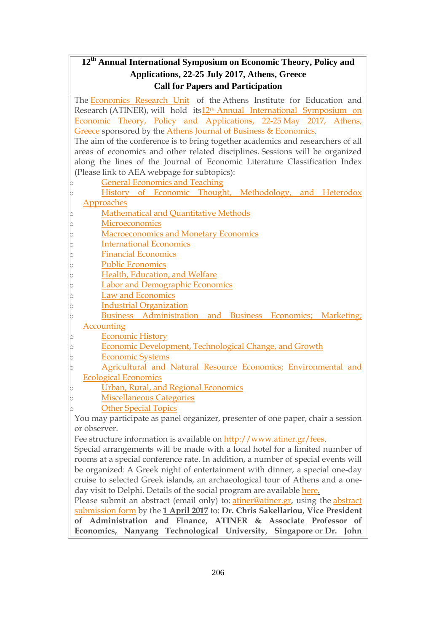# **12th Annual International Symposium on Economic Theory, Policy and Applications, 22-25 July 2017, Athens, Greece Call for Papers and Participation**

The [Economics](http://www.atiner.gr/docs/ECONOMICS_UNIT.htm) Research Unit of the Athens Institute for Education and Research (ATINER), will hold its12th Annual [International](http://www.atiner.gr/economics) Symposium on Economic Theory, Policy and [Applications,](http://www.atiner.gr/economics) 22-25 May 2017, Athens, [Greece](http://www.atiner.gr/economics) sponsored by the Athens Journal of Business & [Economics.](http://www.athensjournals.gr/ajbe) The aim of the conference is to bring together academics and researchers of all areas of economics and other related disciplines. Sessions will be organized along the lines of the Journal of Economic Literature Classification Index (Please link to AEA webpage for subtopics): General [Economics](http://www.aeaweb.org/jel/jel_class_system.php#A#A) and Teaching History of Economic Thought, [Methodology,](http://www.aeaweb.org/jel/jel_class_system.php#B#B) and Heterodox [Approaches](http://www.aeaweb.org/jel/jel_class_system.php#B#B) [Mathematical](http://www.aeaweb.org/jel/jel_class_system.php#C#C) and Quantitative Methods [Microeconomics](http://www.aeaweb.org/jel/jel_class_system.php#D#D) [Macroeconomics](http://www.aeaweb.org/jel/jel_class_system.php#E#E) and Monetary Economics **[International](http://www.aeaweb.org/jel/jel_class_system.php#F#F) Economics** Financial [Economics](http://www.aeaweb.org/jel/jel_class_system.php#G#G) Public [Economics](http://www.aeaweb.org/jel/jel_class_system.php#H#H) Health, [Education,](http://www.aeaweb.org/jel/jel_class_system.php#I#I) and Welfare Labor and [Demographic](http://www.aeaweb.org/jel/jel_class_system.php#J#J) Economics Law and [Economics](http://www.aeaweb.org/jel/jel_class_system.php#K#K) **Industrial [Organization](http://www.aeaweb.org/jel/jel_class_system.php#L#L)** Business [Administration](http://www.aeaweb.org/jel/jel_class_system.php#M#M) and Business Economics; Marketing; [Accounting](http://www.aeaweb.org/jel/jel_class_system.php#M#M) **[Economic](http://www.aeaweb.org/jel/jel_class_system.php#N#N) History** Economic [Development,](http://www.aeaweb.org/jel/jel_class_system.php#O#O) Technological Change, and Growth [Economic](http://www.aeaweb.org/jel/jel_class_system.php#P#P) Systems Agricultural and Natural Resource Economics; [Environmental](http://www.aeaweb.org/jel/jel_class_system.php#Q#Q) and Ecological [Economics](http://www.aeaweb.org/jel/jel_class_system.php#Q#Q) Urban, Rural, and Regional [Economics](http://www.aeaweb.org/jel/jel_class_system.php#R#R) **[Miscellaneous](http://www.aeaweb.org/jel/jel_class_system.php#Y#Y) Categories Other [Special](http://www.aeaweb.org/jel/jel_class_system.php#Z#Z) Topics** You may participate as panel organizer, presenter of one paper, chair a session or observer. Fee structure information is available on [http://www.atiner.gr/fees.](http://www.atiner.gr/fees) Special arrangements will be made with a local hotel for a limited number of rooms at a special conference rate. In addition, a number of special events will be organized: A Greek night of entertainment with dinner, a special one-day cruise to selected Greek islands, an archaeological tour of Athens and a oneday visit to Delphi. Details of the social program are available [here.](http://www.atiner.gr/social-program) Please submit an abstract (email only) to: [atiner@atiner.gr,](mailto:atiner@atiner.gr) using the [abstract](http://www.atiner.gr/2017/FORM-ECO.doc) [submission](http://www.atiner.gr/2017/FORM-ECO.doc) form by the **1 April 2017** to: **Dr. Chris Sakellariou, Vice President of Administration and Finance, ATINER & Associate Professor of Economics, Nanyang Technological University, Singapore** or **Dr. John**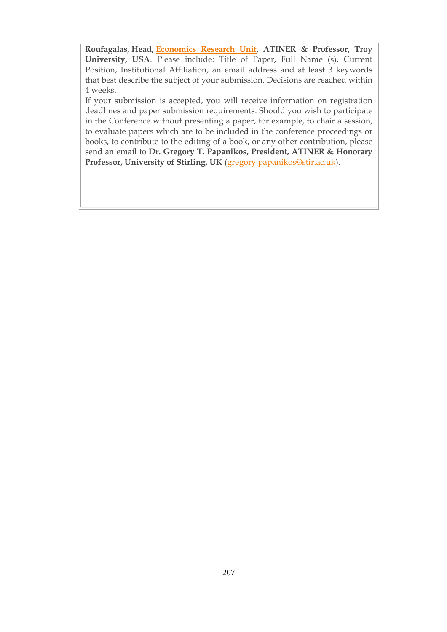**Roufagalas, Head, [Economics](http://www.atiner.gr/docs/ECONOMICS_UNIT.htm) Research Unit, ATINER & Professor, Troy University, USA**. Please include: Title of Paper, Full Name (s), Current Position, Institutional Affiliation, an email address and at least 3 keywords that best describe the subject of your submission. Decisions are reached within 4 weeks.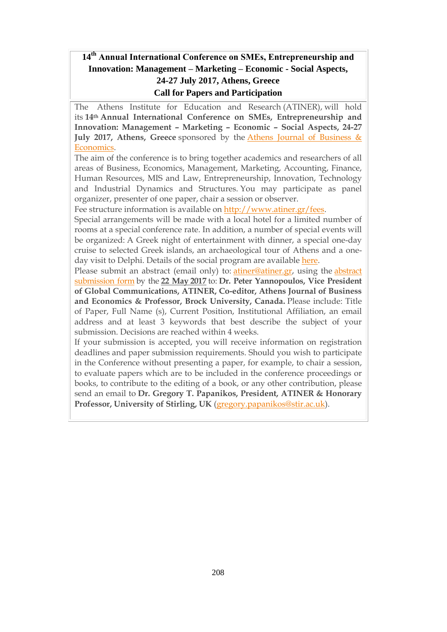# **14th Annual International Conference on SΜΕs, Entrepreneurship and Innovation: Management – Marketing – Economic - Social Aspects, 24-27 July 2017, Athens, Greece Call for Papers and Participation**

The Athens Institute for Education and Research (ATINER), will hold its **14th Annual International Conference on SΜΕs, Entrepreneurship and Innovation: Management – Marketing – Economic – Social Aspects, 24-27 July 2017, Athens, Greece** sponsored by the Athens Journal of [Business](http://www.athensjournals.gr/ajbe) & [Economics.](http://www.athensjournals.gr/ajbe)

The aim of the conference is to bring together academics and researchers of all areas of Business, Economics, Management, Marketing, Accounting, Finance, Human Resources, MIS and Law, Entrepreneurship, Innovation, Technology and Industrial Dynamics and Structures. You may participate as panel organizer, presenter of one paper, chair a session or observer.

Fee structure information is available on [http://www.atiner.gr/fees.](http://www.atiner.gr/fees)

Special arrangements will be made with a local hotel for a limited number of rooms at a special conference rate. In addition, a number of special events will be organized: A Greek night of entertainment with dinner, a special one-day cruise to selected Greek islands, an archaeological tour of Athens and a oneday visit to Delphi. Details of the social program are available [here.](http://www.atiner.gr/social-program)

Please submit an abstract (email only) to: [atiner@atiner.gr,](mailto:atiner@atiner.gr) using the [abstract](http://www.atiner.gr/2017/FORM-SME.doc) [submission](http://www.atiner.gr/2017/FORM-SME.doc) form by the **22 May 2017** to: **Dr. Peter Yannopoulos, Vice President of Global Communications, ATINER, Co-editor, Athens Journal of Business and Economics & Professor, Brock University, Canada.** Please include: Title of Paper, Full Name (s), Current Position, Institutional Affiliation, an email address and at least 3 keywords that best describe the subject of your submission. Decisions are reached within 4 weeks.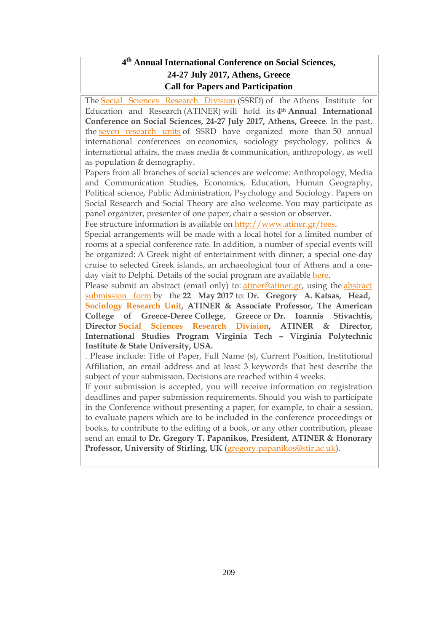# **4 th Annual International Conference on Social Sciences, 24-27 July 2017, Athens, Greece Call for Papers and Participation**

The Social Sciences [Research](http://www.atiner.gr/SSRD.htm) Division (SSRD) of the Athens Institute for Education and Research (ATINER) will hold its **4th Annual International Conference on Social Sciences, 24-27 July 2017, Athens, Greece**. In the past, the seven [research](http://www.atiner.gr/SSRD.htm) units of SSRD have organized more than 50 annual international conferences on economics, sociology psychology, politics & international affairs, the mass media & communication, anthropology, as well as population & demography.

Papers from all branches of social sciences are welcome: Anthropology, Media and Communication Studies, Economics, Education, Human Geography, Political science, Public Administration, Psychology and Sociology. Papers on Social Research and Social Theory are also welcome. You may participate as panel organizer, presenter of one paper, chair a session or observer.

Fee structure information is available on [http://www.atiner.gr/fees.](http://www.atiner.gr/fees)

Special arrangements will be made with a local hotel for a limited number of rooms at a special conference rate. In addition, a number of special events will be organized: A Greek night of entertainment with dinner, a special one-day cruise to selected Greek islands, an archaeological tour of Athens and a oneday visit to Delphi. Details of the social program are available [here.](http://www.atiner.gr/social-program)

Please submit an abstract (email only) to: [atiner@atiner.gr,](mailto:atiner@atiner.gr) using the [abstract](http://www.atiner.gr/2017/FORM-SOS.doc) [submission](http://www.atiner.gr/2017/FORM-SOS.doc) form by the **22 May 2017** to: **Dr. Gregory A. Katsas, Head, [Sociology](http://www.atiner.gr/docs/SOCIOLOGY_UNIT.htm) Research Unit, ATINER & Associate Professor, The American College of Greece-Deree College, Greece** or **Dr. Ioannis Stivachtis, Director Social Sciences Research [Division,](http://www.atiner.gr/SSRD.htm) ATINER & Director, International Studies Program Virginia Tech – Virginia Polytechnic Institute & State University, USA.**

. Please include: Title of Paper, Full Name (s), Current Position, Institutional Affiliation, an email address and at least 3 keywords that best describe the subject of your submission. Decisions are reached within 4 weeks.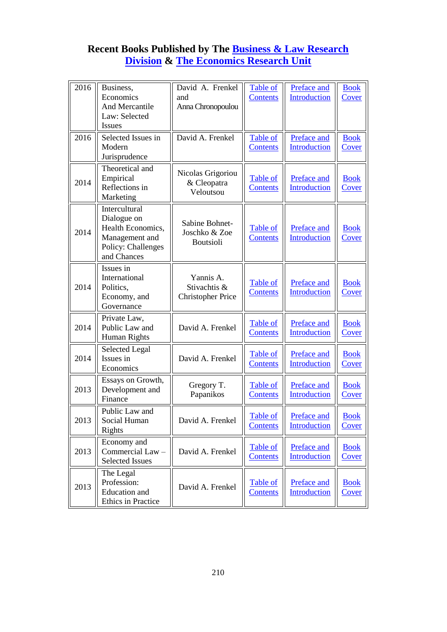## **Recent Books Published by The [Business & Law Research](http://www.atiner.gr/BLRD.htm)  [Division](http://www.atiner.gr/BLRD.htm) & [The Economics Research Unit](http://www.atiner.gr/ECONOMICS-UNIT.htm)**

| Economics<br>Introduction<br><b>Contents</b><br>and<br>Cover<br>And Mercantile<br>Anna Chronopoulou<br>Law: Selected<br><b>Issues</b><br>David A. Frenkel<br>2016<br>Selected Issues in<br>Preface and<br>Table of<br><b>Book</b><br>Modern<br><b>Introduction</b><br><b>Contents</b><br>Cover<br>Jurisprudence<br>Theoretical and<br>Nicolas Grigoriou<br>Empirical<br>Table of<br>Preface and<br><b>Book</b><br>2014<br>& Cleopatra<br>Reflections in<br><b>Introduction</b><br><b>Contents</b><br>Cover<br>Veloutsou<br>Marketing<br>Intercultural<br>Dialogue on<br>Sabine Bohnet-<br>Health Economics,<br><b>Preface and</b><br><b>Table of</b><br><b>Book</b><br>2014<br>Joschko & Zoe<br>Introduction<br>Management and<br><b>Contents</b><br>Cover<br><b>Boutsioli</b><br>Policy: Challenges<br>and Chances<br>Issues in<br>International<br>Yannis A.<br>Preface and<br><b>Table of</b><br><b>Book</b><br>2014<br>Stivachtis &<br>Politics,<br>Introduction<br><b>Contents</b><br>Cover<br>Economy, and<br><b>Christopher Price</b><br>Governance<br>Private Law,<br>Table of<br>Preface and<br><b>Book</b><br>2014<br>Public Law and<br>David A. Frenkel<br>Introduction<br><b>Contents</b><br>Cover<br>Human Rights<br><b>Selected Legal</b><br>Preface and<br><b>Table of</b><br><b>Book</b><br>2014<br>Issues in<br>David A. Frenkel<br>Introduction<br><b>Contents</b><br>Cover<br>Economics<br>Essays on Growth,<br>Gregory T.<br>Table of<br>Preface and<br><b>Book</b><br>2013<br>Development and<br>Introduction<br>Papanikos<br><b>Contents</b><br>Cover<br>Finance<br>Public Law and<br>Table of<br>Preface and<br><b>Book</b><br>David A. Frenkel<br>Social Human<br>2013<br>Introduction<br><b>Cover</b><br><b>Contents</b><br>Rights<br>Economy and<br>Preface and<br>Table of<br><b>Book</b><br>2013<br>Commercial Law -<br>David A. Frenkel<br><b>Introduction</b><br><b>Contents</b><br><u>Cover</u><br><b>Selected Issues</b> | The Legal<br>Profession:<br>Preface and<br>Table of<br><b>Book</b><br>2013<br>David A. Frenkel<br><b>Education</b> and<br><b>Introduction</b><br><b>Contents</b><br><b>Cover</b> | 2016 | Business,          | David A. Frenkel | Table of | Preface and | <b>Book</b> |
|----------------------------------------------------------------------------------------------------------------------------------------------------------------------------------------------------------------------------------------------------------------------------------------------------------------------------------------------------------------------------------------------------------------------------------------------------------------------------------------------------------------------------------------------------------------------------------------------------------------------------------------------------------------------------------------------------------------------------------------------------------------------------------------------------------------------------------------------------------------------------------------------------------------------------------------------------------------------------------------------------------------------------------------------------------------------------------------------------------------------------------------------------------------------------------------------------------------------------------------------------------------------------------------------------------------------------------------------------------------------------------------------------------------------------------------------------------------------------------------------------------------------------------------------------------------------------------------------------------------------------------------------------------------------------------------------------------------------------------------------------------------------------------------------------------------------------------------------------------------------------------------------------------------------------------------------------------|----------------------------------------------------------------------------------------------------------------------------------------------------------------------------------|------|--------------------|------------------|----------|-------------|-------------|
|                                                                                                                                                                                                                                                                                                                                                                                                                                                                                                                                                                                                                                                                                                                                                                                                                                                                                                                                                                                                                                                                                                                                                                                                                                                                                                                                                                                                                                                                                                                                                                                                                                                                                                                                                                                                                                                                                                                                                          |                                                                                                                                                                                  |      |                    |                  |          |             |             |
|                                                                                                                                                                                                                                                                                                                                                                                                                                                                                                                                                                                                                                                                                                                                                                                                                                                                                                                                                                                                                                                                                                                                                                                                                                                                                                                                                                                                                                                                                                                                                                                                                                                                                                                                                                                                                                                                                                                                                          |                                                                                                                                                                                  |      |                    |                  |          |             |             |
|                                                                                                                                                                                                                                                                                                                                                                                                                                                                                                                                                                                                                                                                                                                                                                                                                                                                                                                                                                                                                                                                                                                                                                                                                                                                                                                                                                                                                                                                                                                                                                                                                                                                                                                                                                                                                                                                                                                                                          |                                                                                                                                                                                  |      |                    |                  |          |             |             |
|                                                                                                                                                                                                                                                                                                                                                                                                                                                                                                                                                                                                                                                                                                                                                                                                                                                                                                                                                                                                                                                                                                                                                                                                                                                                                                                                                                                                                                                                                                                                                                                                                                                                                                                                                                                                                                                                                                                                                          |                                                                                                                                                                                  |      |                    |                  |          |             |             |
|                                                                                                                                                                                                                                                                                                                                                                                                                                                                                                                                                                                                                                                                                                                                                                                                                                                                                                                                                                                                                                                                                                                                                                                                                                                                                                                                                                                                                                                                                                                                                                                                                                                                                                                                                                                                                                                                                                                                                          |                                                                                                                                                                                  |      |                    |                  |          |             |             |
|                                                                                                                                                                                                                                                                                                                                                                                                                                                                                                                                                                                                                                                                                                                                                                                                                                                                                                                                                                                                                                                                                                                                                                                                                                                                                                                                                                                                                                                                                                                                                                                                                                                                                                                                                                                                                                                                                                                                                          |                                                                                                                                                                                  |      |                    |                  |          |             |             |
|                                                                                                                                                                                                                                                                                                                                                                                                                                                                                                                                                                                                                                                                                                                                                                                                                                                                                                                                                                                                                                                                                                                                                                                                                                                                                                                                                                                                                                                                                                                                                                                                                                                                                                                                                                                                                                                                                                                                                          |                                                                                                                                                                                  |      |                    |                  |          |             |             |
|                                                                                                                                                                                                                                                                                                                                                                                                                                                                                                                                                                                                                                                                                                                                                                                                                                                                                                                                                                                                                                                                                                                                                                                                                                                                                                                                                                                                                                                                                                                                                                                                                                                                                                                                                                                                                                                                                                                                                          |                                                                                                                                                                                  |      |                    |                  |          |             |             |
|                                                                                                                                                                                                                                                                                                                                                                                                                                                                                                                                                                                                                                                                                                                                                                                                                                                                                                                                                                                                                                                                                                                                                                                                                                                                                                                                                                                                                                                                                                                                                                                                                                                                                                                                                                                                                                                                                                                                                          |                                                                                                                                                                                  |      |                    |                  |          |             |             |
|                                                                                                                                                                                                                                                                                                                                                                                                                                                                                                                                                                                                                                                                                                                                                                                                                                                                                                                                                                                                                                                                                                                                                                                                                                                                                                                                                                                                                                                                                                                                                                                                                                                                                                                                                                                                                                                                                                                                                          |                                                                                                                                                                                  |      |                    |                  |          |             |             |
|                                                                                                                                                                                                                                                                                                                                                                                                                                                                                                                                                                                                                                                                                                                                                                                                                                                                                                                                                                                                                                                                                                                                                                                                                                                                                                                                                                                                                                                                                                                                                                                                                                                                                                                                                                                                                                                                                                                                                          |                                                                                                                                                                                  |      |                    |                  |          |             |             |
|                                                                                                                                                                                                                                                                                                                                                                                                                                                                                                                                                                                                                                                                                                                                                                                                                                                                                                                                                                                                                                                                                                                                                                                                                                                                                                                                                                                                                                                                                                                                                                                                                                                                                                                                                                                                                                                                                                                                                          |                                                                                                                                                                                  |      |                    |                  |          |             |             |
|                                                                                                                                                                                                                                                                                                                                                                                                                                                                                                                                                                                                                                                                                                                                                                                                                                                                                                                                                                                                                                                                                                                                                                                                                                                                                                                                                                                                                                                                                                                                                                                                                                                                                                                                                                                                                                                                                                                                                          |                                                                                                                                                                                  |      |                    |                  |          |             |             |
|                                                                                                                                                                                                                                                                                                                                                                                                                                                                                                                                                                                                                                                                                                                                                                                                                                                                                                                                                                                                                                                                                                                                                                                                                                                                                                                                                                                                                                                                                                                                                                                                                                                                                                                                                                                                                                                                                                                                                          |                                                                                                                                                                                  |      |                    |                  |          |             |             |
|                                                                                                                                                                                                                                                                                                                                                                                                                                                                                                                                                                                                                                                                                                                                                                                                                                                                                                                                                                                                                                                                                                                                                                                                                                                                                                                                                                                                                                                                                                                                                                                                                                                                                                                                                                                                                                                                                                                                                          |                                                                                                                                                                                  |      |                    |                  |          |             |             |
|                                                                                                                                                                                                                                                                                                                                                                                                                                                                                                                                                                                                                                                                                                                                                                                                                                                                                                                                                                                                                                                                                                                                                                                                                                                                                                                                                                                                                                                                                                                                                                                                                                                                                                                                                                                                                                                                                                                                                          |                                                                                                                                                                                  |      |                    |                  |          |             |             |
|                                                                                                                                                                                                                                                                                                                                                                                                                                                                                                                                                                                                                                                                                                                                                                                                                                                                                                                                                                                                                                                                                                                                                                                                                                                                                                                                                                                                                                                                                                                                                                                                                                                                                                                                                                                                                                                                                                                                                          |                                                                                                                                                                                  |      |                    |                  |          |             |             |
|                                                                                                                                                                                                                                                                                                                                                                                                                                                                                                                                                                                                                                                                                                                                                                                                                                                                                                                                                                                                                                                                                                                                                                                                                                                                                                                                                                                                                                                                                                                                                                                                                                                                                                                                                                                                                                                                                                                                                          |                                                                                                                                                                                  |      |                    |                  |          |             |             |
|                                                                                                                                                                                                                                                                                                                                                                                                                                                                                                                                                                                                                                                                                                                                                                                                                                                                                                                                                                                                                                                                                                                                                                                                                                                                                                                                                                                                                                                                                                                                                                                                                                                                                                                                                                                                                                                                                                                                                          |                                                                                                                                                                                  |      |                    |                  |          |             |             |
|                                                                                                                                                                                                                                                                                                                                                                                                                                                                                                                                                                                                                                                                                                                                                                                                                                                                                                                                                                                                                                                                                                                                                                                                                                                                                                                                                                                                                                                                                                                                                                                                                                                                                                                                                                                                                                                                                                                                                          |                                                                                                                                                                                  |      |                    |                  |          |             |             |
|                                                                                                                                                                                                                                                                                                                                                                                                                                                                                                                                                                                                                                                                                                                                                                                                                                                                                                                                                                                                                                                                                                                                                                                                                                                                                                                                                                                                                                                                                                                                                                                                                                                                                                                                                                                                                                                                                                                                                          |                                                                                                                                                                                  |      |                    |                  |          |             |             |
|                                                                                                                                                                                                                                                                                                                                                                                                                                                                                                                                                                                                                                                                                                                                                                                                                                                                                                                                                                                                                                                                                                                                                                                                                                                                                                                                                                                                                                                                                                                                                                                                                                                                                                                                                                                                                                                                                                                                                          |                                                                                                                                                                                  |      |                    |                  |          |             |             |
|                                                                                                                                                                                                                                                                                                                                                                                                                                                                                                                                                                                                                                                                                                                                                                                                                                                                                                                                                                                                                                                                                                                                                                                                                                                                                                                                                                                                                                                                                                                                                                                                                                                                                                                                                                                                                                                                                                                                                          |                                                                                                                                                                                  |      |                    |                  |          |             |             |
|                                                                                                                                                                                                                                                                                                                                                                                                                                                                                                                                                                                                                                                                                                                                                                                                                                                                                                                                                                                                                                                                                                                                                                                                                                                                                                                                                                                                                                                                                                                                                                                                                                                                                                                                                                                                                                                                                                                                                          |                                                                                                                                                                                  |      |                    |                  |          |             |             |
|                                                                                                                                                                                                                                                                                                                                                                                                                                                                                                                                                                                                                                                                                                                                                                                                                                                                                                                                                                                                                                                                                                                                                                                                                                                                                                                                                                                                                                                                                                                                                                                                                                                                                                                                                                                                                                                                                                                                                          |                                                                                                                                                                                  |      |                    |                  |          |             |             |
|                                                                                                                                                                                                                                                                                                                                                                                                                                                                                                                                                                                                                                                                                                                                                                                                                                                                                                                                                                                                                                                                                                                                                                                                                                                                                                                                                                                                                                                                                                                                                                                                                                                                                                                                                                                                                                                                                                                                                          |                                                                                                                                                                                  |      |                    |                  |          |             |             |
|                                                                                                                                                                                                                                                                                                                                                                                                                                                                                                                                                                                                                                                                                                                                                                                                                                                                                                                                                                                                                                                                                                                                                                                                                                                                                                                                                                                                                                                                                                                                                                                                                                                                                                                                                                                                                                                                                                                                                          |                                                                                                                                                                                  |      |                    |                  |          |             |             |
|                                                                                                                                                                                                                                                                                                                                                                                                                                                                                                                                                                                                                                                                                                                                                                                                                                                                                                                                                                                                                                                                                                                                                                                                                                                                                                                                                                                                                                                                                                                                                                                                                                                                                                                                                                                                                                                                                                                                                          |                                                                                                                                                                                  |      |                    |                  |          |             |             |
|                                                                                                                                                                                                                                                                                                                                                                                                                                                                                                                                                                                                                                                                                                                                                                                                                                                                                                                                                                                                                                                                                                                                                                                                                                                                                                                                                                                                                                                                                                                                                                                                                                                                                                                                                                                                                                                                                                                                                          |                                                                                                                                                                                  |      |                    |                  |          |             |             |
|                                                                                                                                                                                                                                                                                                                                                                                                                                                                                                                                                                                                                                                                                                                                                                                                                                                                                                                                                                                                                                                                                                                                                                                                                                                                                                                                                                                                                                                                                                                                                                                                                                                                                                                                                                                                                                                                                                                                                          |                                                                                                                                                                                  |      |                    |                  |          |             |             |
|                                                                                                                                                                                                                                                                                                                                                                                                                                                                                                                                                                                                                                                                                                                                                                                                                                                                                                                                                                                                                                                                                                                                                                                                                                                                                                                                                                                                                                                                                                                                                                                                                                                                                                                                                                                                                                                                                                                                                          |                                                                                                                                                                                  |      |                    |                  |          |             |             |
|                                                                                                                                                                                                                                                                                                                                                                                                                                                                                                                                                                                                                                                                                                                                                                                                                                                                                                                                                                                                                                                                                                                                                                                                                                                                                                                                                                                                                                                                                                                                                                                                                                                                                                                                                                                                                                                                                                                                                          |                                                                                                                                                                                  |      |                    |                  |          |             |             |
|                                                                                                                                                                                                                                                                                                                                                                                                                                                                                                                                                                                                                                                                                                                                                                                                                                                                                                                                                                                                                                                                                                                                                                                                                                                                                                                                                                                                                                                                                                                                                                                                                                                                                                                                                                                                                                                                                                                                                          |                                                                                                                                                                                  |      |                    |                  |          |             |             |
|                                                                                                                                                                                                                                                                                                                                                                                                                                                                                                                                                                                                                                                                                                                                                                                                                                                                                                                                                                                                                                                                                                                                                                                                                                                                                                                                                                                                                                                                                                                                                                                                                                                                                                                                                                                                                                                                                                                                                          |                                                                                                                                                                                  |      |                    |                  |          |             |             |
|                                                                                                                                                                                                                                                                                                                                                                                                                                                                                                                                                                                                                                                                                                                                                                                                                                                                                                                                                                                                                                                                                                                                                                                                                                                                                                                                                                                                                                                                                                                                                                                                                                                                                                                                                                                                                                                                                                                                                          |                                                                                                                                                                                  |      |                    |                  |          |             |             |
|                                                                                                                                                                                                                                                                                                                                                                                                                                                                                                                                                                                                                                                                                                                                                                                                                                                                                                                                                                                                                                                                                                                                                                                                                                                                                                                                                                                                                                                                                                                                                                                                                                                                                                                                                                                                                                                                                                                                                          |                                                                                                                                                                                  |      |                    |                  |          |             |             |
|                                                                                                                                                                                                                                                                                                                                                                                                                                                                                                                                                                                                                                                                                                                                                                                                                                                                                                                                                                                                                                                                                                                                                                                                                                                                                                                                                                                                                                                                                                                                                                                                                                                                                                                                                                                                                                                                                                                                                          |                                                                                                                                                                                  |      |                    |                  |          |             |             |
|                                                                                                                                                                                                                                                                                                                                                                                                                                                                                                                                                                                                                                                                                                                                                                                                                                                                                                                                                                                                                                                                                                                                                                                                                                                                                                                                                                                                                                                                                                                                                                                                                                                                                                                                                                                                                                                                                                                                                          |                                                                                                                                                                                  |      |                    |                  |          |             |             |
|                                                                                                                                                                                                                                                                                                                                                                                                                                                                                                                                                                                                                                                                                                                                                                                                                                                                                                                                                                                                                                                                                                                                                                                                                                                                                                                                                                                                                                                                                                                                                                                                                                                                                                                                                                                                                                                                                                                                                          |                                                                                                                                                                                  |      | Ethics in Practice |                  |          |             |             |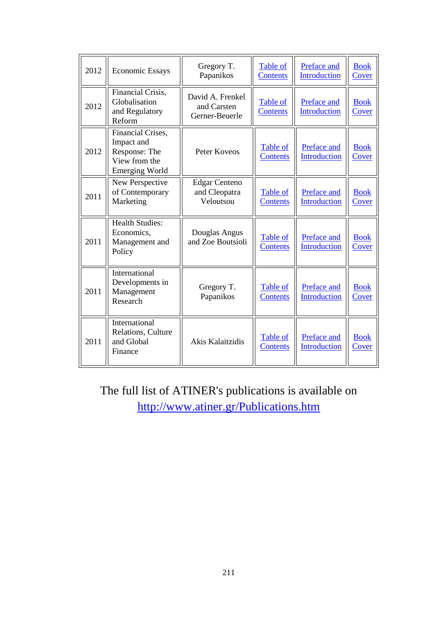| 2012 | <b>Economic Essays</b>                                                                     | Gregory T.<br>Papanikos                            | Table of<br><b>Contents</b> | Preface and<br><b>Introduction</b> | <b>Book</b><br>Cover |
|------|--------------------------------------------------------------------------------------------|----------------------------------------------------|-----------------------------|------------------------------------|----------------------|
| 2012 | Financial Crisis,<br>Globalisation<br>and Regulatory<br>Reform                             | David A. Frenkel<br>and Carsten<br>Gerner-Beuerle  | Table of<br><b>Contents</b> | Preface and<br><b>Introduction</b> | <b>Book</b><br>Cover |
| 2012 | Financial Crises,<br>Impact and<br>Response: The<br>View from the<br><b>Emerging World</b> | Peter Koveos                                       | Table of<br>Contents        | Preface and<br><b>Introduction</b> | <b>Book</b><br>Cover |
| 2011 | New Perspective<br>of Contemporary<br>Marketing                                            | <b>Edgar Centeno</b><br>and Cleopatra<br>Veloutsou | Table of<br><b>Contents</b> | Preface and<br><b>Introduction</b> | <b>Book</b><br>Cover |
| 2011 | <b>Health Studies:</b><br>Economics,<br>Management and<br>Policy                           | Douglas Angus<br>and Zoe Boutsioli                 | Table of<br><b>Contents</b> | Preface and<br><b>Introduction</b> | <b>Book</b><br>Cover |
| 2011 | International<br>Developments in<br>Management<br>Research                                 | Gregory T.<br>Papanikos                            | Table of<br><b>Contents</b> | Preface and<br><b>Introduction</b> | <b>Book</b><br>Cover |
| 2011 | International<br>Relations, Culture<br>and Global<br>Finance                               | Akis Kalaitzidis                                   | Table of<br><b>Contents</b> | Preface and<br>Introduction        | <b>Book</b><br>Cover |

The full list of ATINER's publications is available on <http://www.atiner.gr/Publications.htm>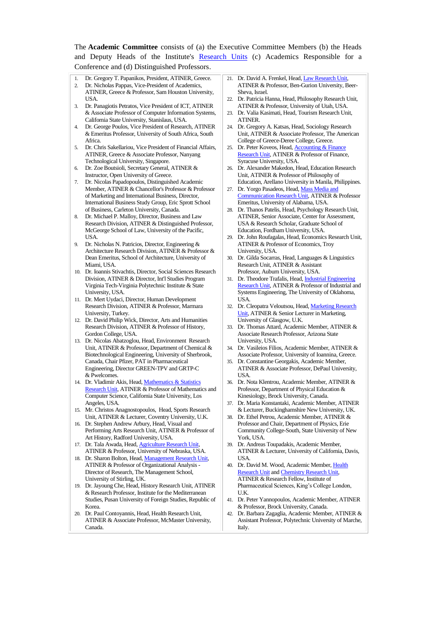The **Academic Committee** consists of (a) the Executive Committee Members (b) the Heads and Deputy Heads of the Institute's [Research](http://www.atiner.gr/RESEARCH-DIVISIONS.htm) Units (c) Academics Responsible for a Conference and (d) Distinguished Professors.

- Dr. Gregory T. Papanikos, President, ATINER, Greece. 2. Dr. Nicholas Pappas, Vice-President of Academics, ATINER, Greece & Professor, Sam Houston University, USA.
- 3. Dr. Panagiotis Petratos, Vice President of ICT, ATINER & Associate Professor of Computer Information Systems, California State University, Stanislaus, USA.
- 4. Dr. George Poulos, Vice President of Research, ATINER & Emeritus Professor, University of South Africa, South Africa.
- 5. Dr. Chris Sakellariou, Vice President of Financial Affairs, ATINER, Greece & Associate Professor, Nanyang Technological University, Singapore.
- Dr. Zoe Boutsioli, Secretary General, ATINER & Instructor, Open University of Greece.
- 7. Dr. Nicolas Papadopoulos, Distinguished Academic Member, ATINER & Chancellor's Professor & Professor of Marketing and International Business, Director, International Business Study Group, Eric Sprott School of Business, Carleton University, Canada.
- 8. Dr. Michael P. Malloy, Director, Business and Law Research Division, ATINER & Distinguished Professor, McGeorge School of Law, University of the Pacific, USA.
- 9. Dr. Nicholas N. Patricios, Director, Engineering & Architecture Research Division, ATINER & Professor & Dean Emeritus, School of Architecture, University of Miami, USA.
- 10. Dr. Ioannis Stivachtis, Director, Social Sciences Research Division, ATINER & Director, Int'l Studies Program Virginia Tech-Virginia Polytechnic Institute & State University, USA.
- 11. Dr. Mert Uydaci, Director, Human Development Research Division, ATINER & Professor, Marmara University, Turkey.
- 12. Dr. David Philip Wick, Director, Arts and Humanities Research Division, ATINER & Professor of History, Gordon College, USA.
- 13. Dr. Nicolas Abatzoglou, Head, Environment Research Unit, ATINER & Professor, Department of Chemical & Biotechnological Engineering, University of Sherbrook, Canada, Chair Pfizer, PAT in Pharmaceutical Engineering, Director GREEN-TPV and GRTP-C & Pwelcomes.
- 14. Dr. Vladimir Akis, Head, Mathematics & Statistics [Research Unit,](http://www.atiner.gr/docs/MATHEMATICS_UNIT.htm) ATINER & Professor of Mathematics and Computer Science, California State University, Los Angeles, USA.
- 15. Mr. Christos Anagnostopoulos, Head, Sports Research Unit, ATINER & Lecturer, Coventry University, U.K.
- 16. Dr. Stephen Andrew Arbury, Head, Visual and Performing Arts Research Unit, ATINER & Professor of Art History, Radford University, USA.
- 17. Dr. Tala Awada, Head[, Agriculture Research Unit,](http://www.atiner.gr/AGRICULTURE_UNIT.htm)  ATINER & Professor, University of Nebraska, USA.
- 18. Dr. Sharon Bolton, Head, Management Research Unit, ATINER & Professor of Organizational Analysis - Director of Research, The Management School, University of Stirling, UK.
- 19. Dr. Jayoung Che, Head, History Research Unit, ATINER & Research Professor, Institute for the Mediterranean Studies, Pusan University of Foreign Studies, Republic of Korea.
- 20. Dr. Paul Contoyannis, Head, Health Research Unit, ATINER & Associate Professor, McMaster University, Canada.
- 21. Dr. David A. Frenkel, Head[, Law Research Unit,](http://www.atiner.gr/docs/LAW_UNIT.htm)  ATINER & Professor, Ben-Gurion University, Beer-Sheva, Israel.
- 22. Dr. Patricia Hanna, Head, Philosophy Research Unit, ATINER & Professor, University of Utah, USA.
- 23. Dr. Valia Kasimati, Head, Tourism Research Unit, ATINER.
- 24. Dr. Gregory A. Katsas, Head, Sociology Research Unit, ATINER & Associate Professor, The American College of Greece-Deree College, Greece.
- 25. Dr. Peter Koveos, Head[, Accounting & Finance](http://www.atiner.gr/docs/ACCOUNTING_UNIT.htm)  [Research Unit,](http://www.atiner.gr/docs/ACCOUNTING_UNIT.htm) ATINER & Professor of Finance, Syracuse University, USA.
- 26. Dr. Alexander Makedon, Head, Education Research Unit, ATINER & Professor of Philosophy of Education, Arellano University in Manila, Philippines.
- 27. Dr. Yorgo Pasadeos, Head[, Mass Media and](http://www.atiner.gr/docs/MEDIA_UNIT.htm)  [Communication Research Unit,](http://www.atiner.gr/docs/MEDIA_UNIT.htm) ATINER & Professor Emeritus, University of Alabama, USA.
- 28. Dr. Thanos Patelis, Head, Psychology Research Unit, ATINER, Senior Associate, Center for Assessment, USA & Research Scholar, Graduate School of Education, Fordham University, USA.
- 29. Dr. John Roufagalas, Head, Economics Research Unit, ATINER & Professor of Economics, Troy University, USA.
- 30. Dr. Gilda Socarras, Head, Languages & Linguistics Research Unit, ATINER & Assistant Professor, Auburn University, USA.
- 31. Dr. Theodore Trafalis, Head, Industrial [Engineering](http://www.atiner.gr/INDUSTRIAL-UNIT.htm)  [Research Unit,](http://www.atiner.gr/INDUSTRIAL-UNIT.htm) ATINER & Professor of Industrial and Systems Engineering, The University of Oklahoma, USA.
- 32. Dr. Cleopatra Veloutsou, Head[, Marketing Research](http://www.atiner.gr/docs/MARKETING_UNIT.htm)  [Unit,](http://www.atiner.gr/docs/MARKETING_UNIT.htm) ATINER & Senior Lecturer in Marketing, University of Glasgow, U.K.
- 33. Dr. Thomas Attard, Academic Member, ATINER & Associate Research Professor, Arizona State University, USA.
- 34. Dr. Vasileios Filios, Academic Member, ATINER & Associate Professor, University of Ioannina, Greece.
- 35. Dr. Constantine Georgakis, Academic Member, ATINER & Associate Professor, DePaul University, USA.
- 36. Dr. Nota Klentrou, Academic Member, ATINER & Professor, Department of Physical Education & Kinesiology, Brock University, Canada.
- 37. Dr. Maria Konstantaki, Academic Member, ATINER & Lecturer, Buckinghamshire New University, UK.
- 38. Dr. Ethel Petrou, Academic Member, ATINER & Professor and Chair, Department of Physics, Erie Community College-South, State University of New York, USA.
- 39. Dr. Andreas Toupadakis, Academic Member, ATINER & Lecturer, University of California, Davis, USA.
- 40. Dr. David M. Wood, Academic Member, [Health](http://www.atiner.gr/docs/HEALTH_UNIT.htm)  [Research Unit](http://www.atiner.gr/docs/HEALTH_UNIT.htm) and [Chemistry Research Unit,](http://www.atiner.gr/CHEMISTRY-UNIT.htm) ATINER & Research Fellow, Institute of Pharmaceutical Sciences, King's College London, U.K.
- 41. Dr. Peter Yannopoulos, Academic Member, ATINER & Professor, Brock University, Canada.
- 42. Dr. Barbara Zagaglia, Academic Member, ATINER & Assistant Professor, Polytechnic University of Marche, Italy.